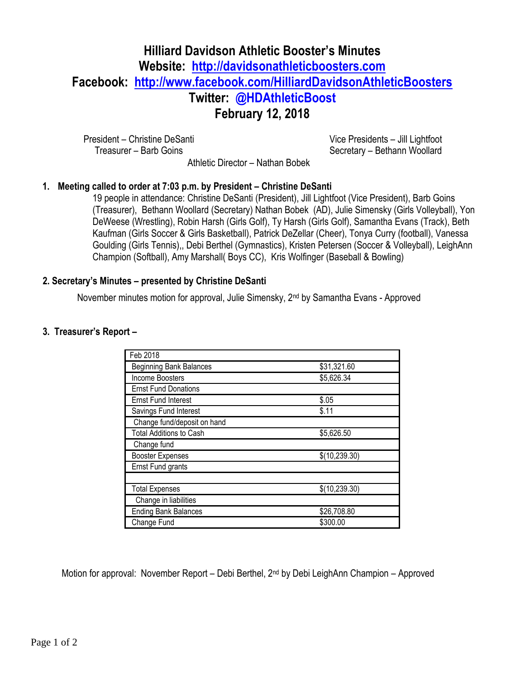# **Hilliard Davidson Athletic Booster's Minutes Website: [http://davidsonathleticboosters.com](http://davidsonathleticboosters.com/) Facebook: <http://www.facebook.com/HilliardDavidsonAthleticBoosters> Twitter: @HDAthleticBoost February 12, 2018**

President – Christine DeSanti Treasurer – Barb Goins

Vice Presidents – Jill Lightfoot Secretary – Bethann Woollard

Athletic Director – Nathan Bobek

### **1. Meeting called to order at 7:03 p.m. by President – Christine DeSanti**

19 people in attendance: Christine DeSanti (President), Jill Lightfoot (Vice President), Barb Goins (Treasurer), Bethann Woollard (Secretary) Nathan Bobek (AD), Julie Simensky (Girls Volleyball), Yon DeWeese (Wrestling), Robin Harsh (Girls Golf), Ty Harsh (Girls Golf), Samantha Evans (Track), Beth Kaufman (Girls Soccer & Girls Basketball), Patrick DeZellar (Cheer), Tonya Curry (football), Vanessa Goulding (Girls Tennis),, Debi Berthel (Gymnastics), Kristen Petersen (Soccer & Volleyball), LeighAnn Champion (Softball), Amy Marshall( Boys CC), Kris Wolfinger (Baseball & Bowling)

### **2. Secretary's Minutes – presented by Christine DeSanti**

November minutes motion for approval, Julie Simensky, 2<sup>nd</sup> by Samantha Evans - Approved

## **3. Treasurer's Report –**

| Feb 2018                       |               |
|--------------------------------|---------------|
| <b>Beginning Bank Balances</b> | \$31,321.60   |
| Income Boosters                | \$5,626.34    |
| <b>Ernst Fund Donations</b>    |               |
| <b>Ernst Fund Interest</b>     | \$.05         |
| Savings Fund Interest          | \$.11         |
| Change fund/deposit on hand    |               |
| <b>Total Additions to Cash</b> | \$5,626.50    |
| Change fund                    |               |
| <b>Booster Expenses</b>        | \$(10,239.30) |
| Ernst Fund grants              |               |
|                                |               |
| <b>Total Expenses</b>          | \$(10,239.30) |
| Change in liabilities          |               |
| <b>Ending Bank Balances</b>    | \$26,708.80   |
| Change Fund                    | \$300.00      |

Motion for approval: November Report – Debi Berthel, 2nd by Debi LeighAnn Champion – Approved